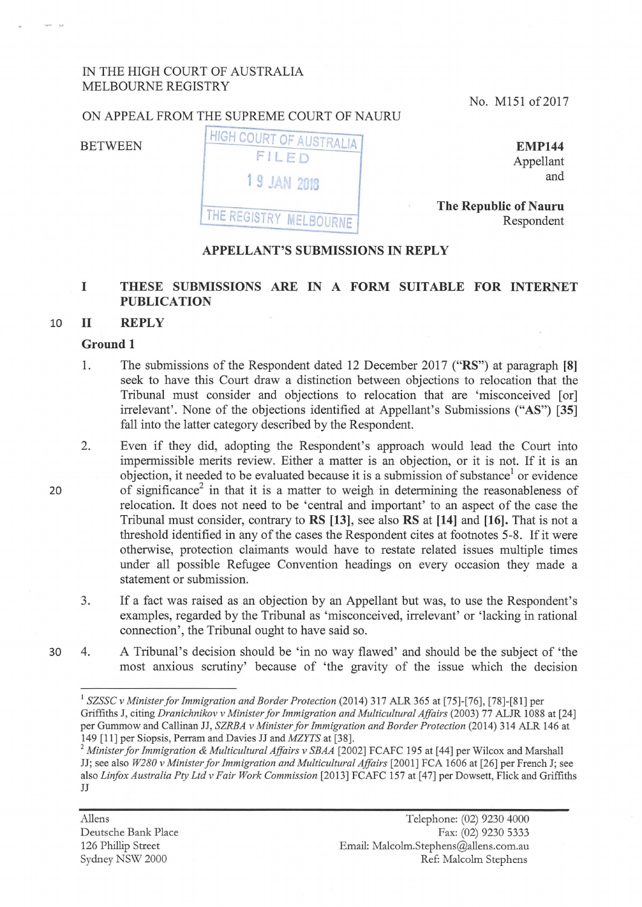# IN THE HIGH COURT OF AUSTRALIA MELBOURNE REGISTRY

No. M151 of 2017

#### ON APPEAL FROM THE SUPREME COURT OF NAURU



**EMP144**  Appellant and

**The Republic of Nauru** Respondent

#### **APPELLANT'S SUBMISSIONS IN REPLY**

# I THESE SUBMISSIONS ARE IN A FORM SUITABLE FOR INTERNET **PUBLICATION**

### 10 **11 REPLY**

#### **Ground 1**

20

- 1. The submissions of the Respondent dated 12 December 2017 **("RS")** at paragraph **[8]**  seek to have this Court draw a distinction between objections to relocation that the Tribunal must consider and objections to relocation that are 'misconceived [or] irrelevant'. None of the objections identified at Appellant's Submissions ("AS") **[35]**  fall into the latter category described by the Respondent.
- 2. Even if they did, adopting the Respondent's approach would lead the Court into impermissible merits review. Either a matter is an objection, or it is not. If it is an objection, it needed to be evaluated because it is a submission of substance<sup>1</sup> or evidence of significance<sup>2</sup> in that it is a matter to weigh in determining the reasonableness of relocation. It does not need to be 'central and important' to an aspect of the case the Tribunal must consider, contrary to **RS [13],** see also **RS at [14]** and **[16].** That is not a threshold identified in any of the cases the Respondent cites at footnotes 5-8. If it were otherwise, protection claimants would have to restate related issues multiple times under all possible Refugee Convention headings on every occasion they made a statement or submission.
- 3. If a fact was raised as an objection by an Appellant but was, to use the Respondent's examples, regarded by the Tribunal as 'misconceived, irrelevant' or 'lacking in rational connection', the Tribunal ought to have said so.
- 30 4. A Tribunal's decision should be 'in no way flawed' and should be the subject of 'the most anxious scrutiny' because of 'the gravity of the issue which the decision

Aliens Deutsche Bank Place 126 Phillip Street Sydney NSW 2000

<sup>&</sup>lt;sup>1</sup> SZSSC v Minister for Immigration and Border Protection (2014) 317 ALR 365 at [75]-[76], [78]-[81] per Griffiths J, citing *Dranichnikov v Minister for Immigration and Multicultural Affairs* (2003) 77 ALJR 1088 at [24] per Gummow and Callinan JJ, *SZRBA v Minister for Immigration and Border Protection* (2014) 314 ALR 146 at

<sup>149 [11]</sup> per Siopsis, Perram and Davies JJ and *MZYTS* at [38]. 2 *Minister for Immigration & Multicultural Affairs v SBAA* [2002] FCAFC 195 at [ 44] per Wilcox and Marshall JJ; see also *W280 v Minister for Immigration and Multicultural Affairs* [2001] FCA 1606 at [26] per French J; see also *Linfox Australia Pty Ltd v Fair Work Commission* [2013] FCAFC 157 at [47] per Dowsett, Flick and Griffiths JJ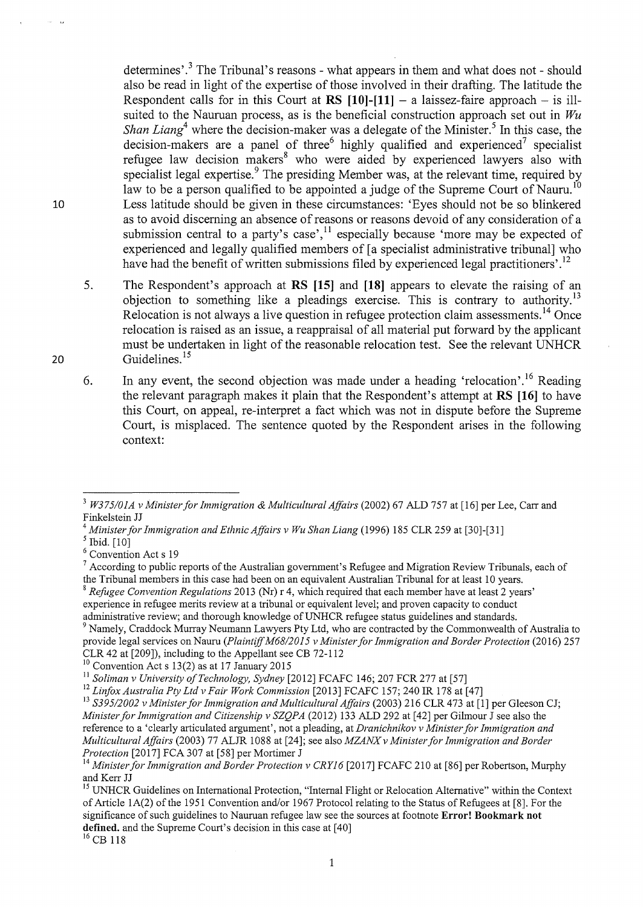determines'.<sup>3</sup> The Tribunal's reasons - what appears in them and what does not - should also be read in light of the expertise of those involved in their drafting. The latitude the Respondent calls for in this Court at  $RS$  [10]-[11]  $-$  a laissez-faire approach  $-$  is illsuited to the Nauruan process, as is the beneficial construction approach set out in *Wu Shan Liang*<sup>4</sup> where the decision-maker was a delegate of the Minister.<sup>5</sup> In this case, the decision-makers are a panel of three highly qualified and experienced<sup>7</sup> specialist refugee law decision makers<sup>8</sup> who were aided by experienced lawyers also with specialist legal expertise.<sup>9</sup> The presiding Member was, at the relevant time, required by law to be a person qualified to be appointed a judge of the Supreme Court of Nauru.<sup>10</sup> Less latitude should be given in these circumstances: 'Eyes should not be so blinkered as to avoid discerning an absence of reasons or reasons devoid of any consideration of a submission central to a party's case',<sup>11</sup> especially because 'more may be expected of experienced and legally qualified members of [a specialist administrative tribunal] who have had the benefit of written submissions filed by experienced legal practitioners'.<sup>12</sup>

5. The Respondent's approach at **RS [15]** and **[18]** appears to elevate the raising of an objection to something like a pleadings exercise. This is contrary to authority.<sup>13</sup> Relocation is not always a live question in refugee protection claim assessments.<sup>14</sup> Once relocation is raised as an issue, a reappraisal of all material put forward by the applicant must be undertaken in light of the reasonable relocation test. See the relevant UNHCR Guidelines.<sup>15</sup>

6. In any event, the second objection was made under a heading 'relocation'.<sup>16</sup> Reading the relevant paragraph makes it plain that the Respondent's attempt at **RS [16]** to have this Court, on appeal, re-interpret a fact which was not in dispute before the Supreme Court, is misplaced. The sentence quoted by the Respondent arises in the following context:

<sup>9</sup> Namely, Craddock Murray Neumann Lawyers Pty Ltd, who are contracted by the Commonwealth of Australia to provide legal services on Nauru *(Plaintiff M68/2015 v Minister for Immigration and Border Protection (2016) 257* CLR 42 at [209]), including to the Appellant see CB 72-112<sup>10</sup> Convention Act s 13(2) as at 17 January 2015

<sup>16</sup> CB 118

20

10

<sup>3</sup>*W375/0IA v Minister for Immigration* & *Multicultural Affairs* (2002) 67 ALD 757 at [16] per Lee, Carr and Finkelstein JJ<br>
<sup>4</sup> Minister for Immigration and Ethnic Affairs v Wu Shan Liang (1996) 185 CLR 259 at [30]-[31]<br>
<sup>5</sup> Ibid. [10]<br>
<sup>6</sup> Convention Act s 19<br>
<sup>6</sup> Convention Act s 19<br>
<sup>7</sup> According to public reports of the Aus

the Tribunal members in this case had been on an equivalent Australian Tribunal for at least IO years.

<sup>8</sup>*RefUgee Convention Regulations* 2013 (Nr) r 4, which required that each member have at least 2 years' experience in refugee merits review at a tribunal or equivalent level; and proven capacity to conduct administrative review; and thorough knowledge of UNHCR refugee status guidelines and standards.

<sup>&</sup>lt;sup>11</sup> Soliman v University of Technology, Sydney [2012] FCAFC 146; 207 FCR 277 at [57]<br><sup>12</sup> Linfox Australia Pty Ltd v Fair Work Commission [2013] FCAFC 157; 240 IR 178 at [47]<br><sup>13</sup> S395/2002 v Minister for Immigration and *Minister for Immigration and Citizenship v SZQPA* (2012) 133 ALD 292 at [42] per Gilmour J see also the reference to a 'clearly articulated argument', not a pleading, at *Dranichnikov v Minister for Immigration and Multicultural Affairs* (2003) 77 ALJR I088 at [24]; see also *MZANXv Minister for Immigration and Border Protection* [2017] FCA 307 at [58] per Mortimer J

<sup>&</sup>lt;sup>14</sup> Minister for Immigration and Border Protection v CRY16 [2017] FCAFC 210 at [86] per Robertson, Murphy and Kerr JJ<br><sup>15</sup> UNHCR Guidelines on International Protection, "Internal Flight or Relocation Alternative" within the Context

of Article 1A(2) of the I95I Convention and/or I967 Protocol relating to the Status of Refugees at [8]. For the significance of such guidelines to Nauruan refugee law see the sources at footnote **Error! Bookmark not defined.** and the Supreme Court's decision in this case at [40]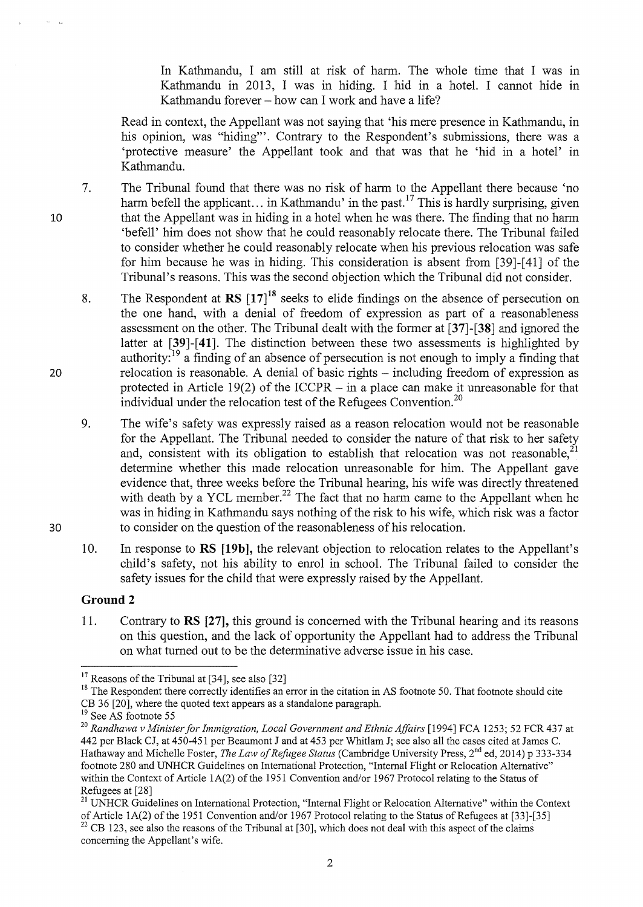In Kathmandu, I am still at risk of harm. The whole time that I was in Kathmandu in 2013, I was in hiding. I hid in a hotel. I cannot hide in Kathmandu forever – how can I work and have a life?

Read in context, the Appellant was not saying that 'his mere presence in Kathmandu, in his opinion, was "hiding"'. Contrary to the Respondent's submissions, there was a 'protective measure' the Appellant took and that was that he 'hid in a hotel' in Kathmandu.

- 7. The Tribunal found that there was no risk of harm to the Appellant there because 'no harm befell the applicant... in Kathmandu' in the past.<sup>17</sup> This is hardly surprising, given that the Appellant was in hiding in a hotel when he was there. The finding that no harm 'befell' him does not show that he could reasonably relocate there. The Tribunal failed to consider whether he could reasonably relocate when his previous relocation was safe for him because he was in hiding. This consideration is absent from [39]-[ 41] of the Tribunal's reasons. This was the second objection which the Tribunal did not consider.
	- 8. The Respondent at  $\text{RS}$   $\left[17\right]^{18}$  seeks to elide findings on the absence of persecution on the one hand, with a denial of freedom of expression as part of a reasonableness assessment on the other. The Tribunal dealt with the former at **[37]-[38]** and ignored the latter at [39]-[41]. The distinction between these two assessments is highlighted by authority:<sup>19</sup> a finding of an absence of persecution is not enough to imply a finding that relocation is reasonable. A denial of basic rights – including freedom of expression as protected in Article 19(2) of the ICCPR  $-$  in a place can make it unreasonable for that individual under the relocation test of the Refugees Convention.<sup>20</sup>
	- 9. The wife's safety was expressly raised as a reason relocation would not be reasonable for the Appellant. The Tribunal needed to consider the nature of that risk to her safety and, consistent with its obligation to establish that relocation was not reasonable.<sup>21</sup> determine whether this made relocation unreasonable for him. The Appellant gave evidence that, three weeks before the Tribunal hearing, his wife was directly threatened with death by a YCL member.<sup>22</sup> The fact that no harm came to the Appellant when he was in hiding in Kathmandu says nothing of the risk to his wife, which risk was a factor to consider on the question of the reasonableness of his relocation.
	- 10. In response toRS **[19b],** the relevant objection to relocation relates to the Appellant's child's safety, not his ability to enrol in school. The Tribunal failed to consider the safety issues for the child that were expressly raised by the Appellant.

# **Ground 2**

11. Contrary to **RS [27],** this ground is concerned with the Tribunal hearing and its reasons on this question, and the lack of opportunity the Appellant had to address the Tribunal on what turned out to be the determinative adverse issue in his case.

30

20

<sup>&</sup>lt;sup>17</sup> Reasons of the Tribunal at [34], see also [32]

<sup>&</sup>lt;sup>18</sup> The Respondent there correctly identifies an error in the citation in AS footnote 50. That footnote should cite CB 36 [20], where the quoted text appears as a standalone paragraph. 19 See AS footnote 55

<sup>&</sup>lt;sup>20</sup> Randhawa v Minister for Immigration, Local Government and Ethnic Affairs [1994] FCA 1253; 52 FCR 437 at 442 per Black CJ, at 450-451 per Beaumont J and at 453 per Whitlam J; see also all the cases cited at James C. Hathaway and Michelle Foster, *The Law of Refugee Status* (Cambridge University Press, 2nd ed, 2014) p 333-334 footnote 280 and UNHCR Guidelines on International Protection, "Internal Flight or Relocation Alternative" within the Context of Article 1A(2) of the 1951 Convention and/or 1967 Protocol relating to the Status of Refugees at [28]<br><sup>21</sup> UNHCR Guidelines on International Protection, "Internal Flight or Relocation Alternative" within the Context

of Article 1A(2) of the 1951 Convention and/or 1967 Protocol relating to the Status of Refugees at [33]-[35]  $22$  CB 123, see also the reasons of the Tribunal at [30], which does not deal with this aspect of the claims concerning the Appellant's wife.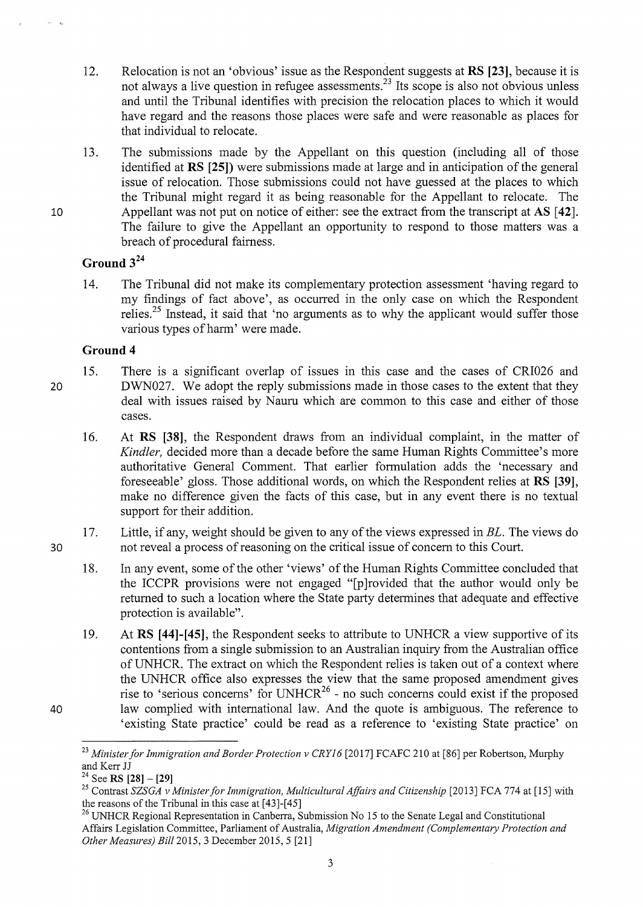- 12. Relocation is not an 'obvious' issue as the Respondent suggests at **RS [23],** because it is not always a live question in refugee assessments.<sup>23</sup> Its scope is also not obvious unless and until the Tribunal identifies with precision the relocation places to which it would have regard and the reasons those places were safe and were reasonable as places for that individual to relocate.
- 13. The submissions made by the Appellant on this question (including all of those identified at **RS [25])** were submissions made at large and in anticipation of the general issue of relocation. Those submissions could not have guessed at the places to which the Tribunal might regard it as being reasonable for the Appellant to relocate. The Appellant was not put on notice of either: see the extract from the transcript at **AS** [42]. The failure to give the Appellant an opportunity to respond to those matters was a breach of procedural fairness.

# **Ground 3<sup>24</sup>**

14. The Tribunal did not make its complementary protection assessment 'having regard to my findings of fact above', as occurred in the only case on which the Respondent relies.<sup>25</sup> Instead, it said that 'no arguments as to why the applicant would suffer those various types of harm' were made.

## **Ground 4**

20

30

40

10

15. There is a significant overlap of issues in this case and the cases of CRI026 and DWN027. We adopt the reply submissions made in those cases to the extent that they deal with issues raised by Nauru which are common to this case and either of those cases.

16. At **RS [38],** the Respondent draws from an individual complaint, in the matter of *Kindler,* decided more than a decade before the same Human Rights Committee's more authoritative General Comment. That earlier formulation adds the 'necessary and foreseeable' gloss. Those additional words, on which the Respondent relies at **RS [39],**  make no difference given the facts of this case, but in any event there is no textual support for their addition.

17. Little, if any, weight should be given to any of the views expressed in *BL.* The views do not reveal a process of reasoning on the critical issue of concern to this Court.

18. In any event, some of the other 'views' of the Human Rights Committee concluded that the ICCPR provisions were not engaged "[p ]rovided that the author would only be returned to such a location where the State party determines that adequate and effective protection is available".

19. At **RS [44]-[45],** the Respondent seeks to attribute to UNHCR a view supportive of its contentions from a single submission to an Australian inquiry from the Australian office of UNHCR. The extract on which the Respondent relies is taken out of a context where the UNHCR office also expresses the view that the same proposed amendment gives rise to 'serious concerns' for  $UNHCR^{26}$  - no such concerns could exist if the proposed law complied with international law. And the quote is ambiguous. The reference to 'existing State practice' could be read as a reference to 'existing State practice' on

<sup>&</sup>lt;sup>23</sup> Minister for Immigration and Border Protection v CRY16 [2017] FCAFC 210 at [86] per Robertson, Murphy and Kerr JJ

<sup>24</sup> SeeRS **[28] - [29]** 

<sup>&</sup>lt;sup>25</sup> Contrast *SZSGA v Minister for Immigration, Multicultural Affairs and Citizenship* [2013] FCA 774 at [15] with the reasons of the Tribunal in this case at  $[43]$ - $[45]$ <br><sup>26</sup> UNHCR Regional Representation in Canberra, Submission No 15 to the Senate Legal and Constitutional

Affairs Legislation Committee, Parliament of Australia, *Migration Amendment (Complementary Protection and Other Measures) Bill2015,* 3 December 2015, 5 [21]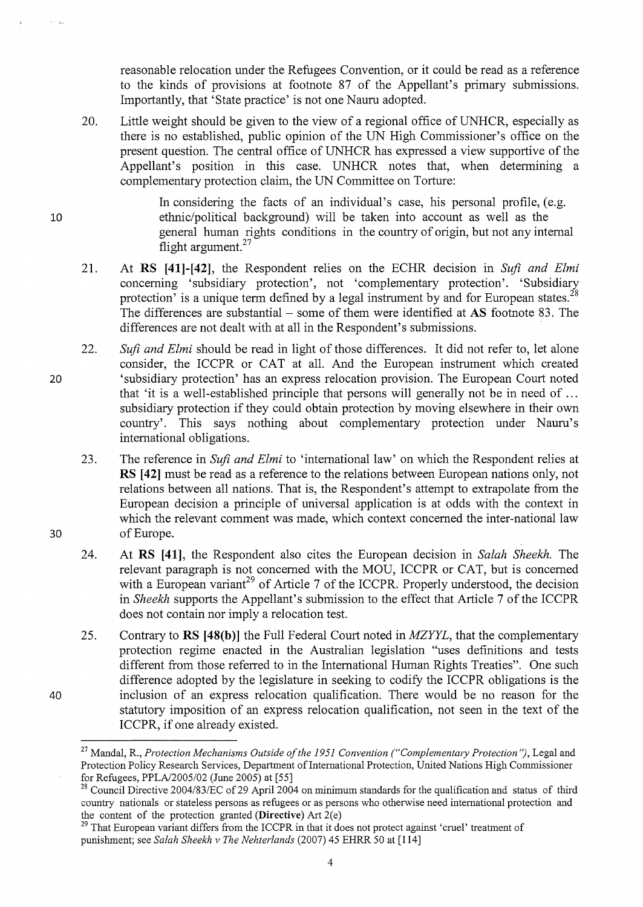reasonable relocation under the Refugees Convention, or it could be read as a reference to the kinds of provisions at footnote 87 of the Appellant's primary submissions. Importantly, that 'State practice' is not one Nauru adopted.

20. Little weight should be given to the view of a regional office of UNHCR, especially as there is no established, public opinion of the UN High Commissioner's office on the present question. The central office of UNHCR has expressed a view supportive of the Appellant's position in this case. UNHCR notes that, when determining a complementary protection claim, the UN Committee on Torture:

> In considering the facts of an individual's case, his personal profile, (e.g. ethnic/political background) will be taken into account as well as the general human rights conditions in the country of origin, but not any internal flight argument.<sup>27</sup>

- 21. At **RS [41]-[42],** the Respondent relies on the ECHR decision in *Sufi and Elmi*  concerning 'subsidiary protection', not 'complementary protection'. 'Subsidiary protection' is a unique term defined by a legal instrument by and for European states.<sup>28</sup> The differences are substantial- some of them were identified at **AS** footnote 83. The differences are not dealt with at all in the Respondent's submissions.
- 22. *Sufi and Elmi* should be read in light of those differences. It did not refer to, let alone consider, the ICCPR or CAT at all. And the European instrument which created 'subsidiary protection' has an express relocation provision. The European Court noted that 'it is a well-established principle that persons will generally not be in need of ... subsidiary protection if they could obtain protection by moving elsewhere in their own country'. This says nothing about complementary protection under Nauru's international obligations.
	- 23. The reference in *Sufi and Elmi* to 'international law' on which the Respondent relies at **RS [42]** must be read as a reference to the relations between European nations only, not relations between all nations. That is, the Respondent's attempt to extrapolate from the European decision a principle of universal application is at odds with the context in which the relevant comment was made, which context concerned the inter-national law of Europe.
	- 24. At **RS [41],** the Respondent also cites the European decision in *Salah Sheekh.* The relevant paragraph is not concerned with the MOU, ICCPR or CAT, but is concerned with a European variant<sup>29</sup> of Article 7 of the ICCPR. Properly understood, the decision in *Sheekh* supports the Appellant's submission to the effect that Article 7 of the ICCPR does not contain nor imply a relocation test.
	- 25. Contrary to RS [48(b)] the Full Federal Court noted in *MZYYL*, that the complementary protection regime enacted in the Australian legislation "uses definitions and tests different from those referred to in the International Human Rights Treaties". One such difference adopted by the legislature in seeking to codify the ICCPR obligations is the inclusion of an express relocation qualification. There would be no reason for the statutory imposition of an express relocation qualification, not seen in the text of the ICCPR, if one already existed.

20

10

40

30

<sup>&</sup>lt;sup>27</sup> Mandal, R., *Protection Mechanisms Outside of the 1951 Convention ("Complementary Protection")*, Legal and Protection Policy Research Services, Department of International Protection, United Nations High Commissioner for Refugees, PPLA/2005/02 (June 2005) at [55]

<sup>&</sup>lt;sup>28</sup> Council Directive 2004/83/EC of 29 April 2004 on minimum standards for the qualification and status of third country nationals or stateless persons as refugees or as persons who otherwise need international protection and the content of the protection granted **(Directive)** Art 2(e)

<sup>&</sup>lt;sup>29</sup> That European variant differs from the ICCPR in that it does not protect against 'cruel' treatment of punishment; see *Salah Sheekh v The Nehterlands* (2007) 45 EHRR 50 at [114]